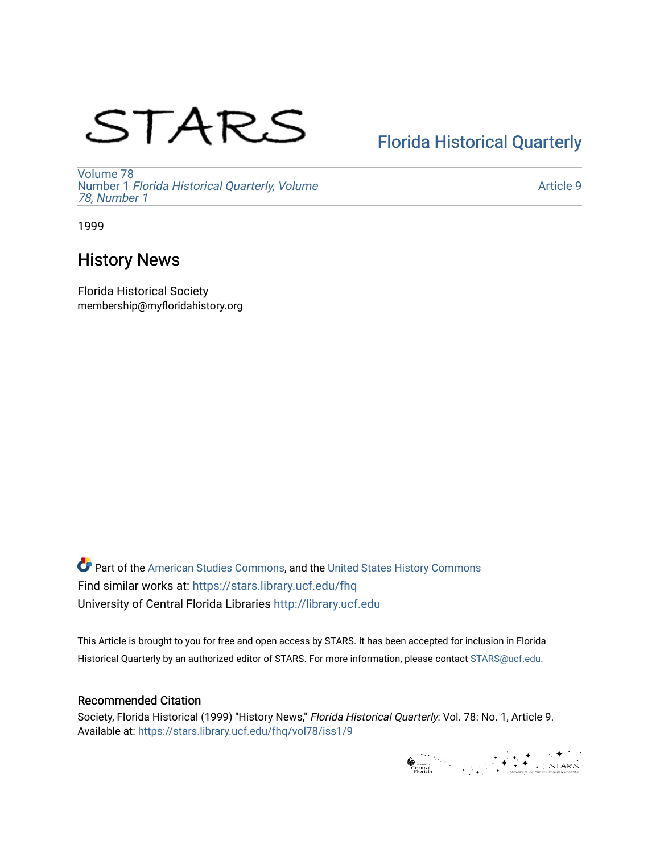# STARS

# [Florida Historical Quarterly](https://stars.library.ucf.edu/fhq)

[Volume 78](https://stars.library.ucf.edu/fhq/vol78) Number 1 [Florida Historical Quarterly, Volume](https://stars.library.ucf.edu/fhq/vol78/iss1)  [78, Number 1](https://stars.library.ucf.edu/fhq/vol78/iss1)

[Article 9](https://stars.library.ucf.edu/fhq/vol78/iss1/9) 

1999

## History News

Florida Historical Society membership@myfloridahistory.org

**C** Part of the [American Studies Commons](http://network.bepress.com/hgg/discipline/439?utm_source=stars.library.ucf.edu%2Ffhq%2Fvol78%2Fiss1%2F9&utm_medium=PDF&utm_campaign=PDFCoverPages), and the United States History Commons Find similar works at: <https://stars.library.ucf.edu/fhq> University of Central Florida Libraries [http://library.ucf.edu](http://library.ucf.edu/) 

This Article is brought to you for free and open access by STARS. It has been accepted for inclusion in Florida Historical Quarterly by an authorized editor of STARS. For more information, please contact [STARS@ucf.edu.](mailto:STARS@ucf.edu)

## Recommended Citation

Society, Florida Historical (1999) "History News," Florida Historical Quarterly: Vol. 78: No. 1, Article 9. Available at: [https://stars.library.ucf.edu/fhq/vol78/iss1/9](https://stars.library.ucf.edu/fhq/vol78/iss1/9?utm_source=stars.library.ucf.edu%2Ffhq%2Fvol78%2Fiss1%2F9&utm_medium=PDF&utm_campaign=PDFCoverPages) 

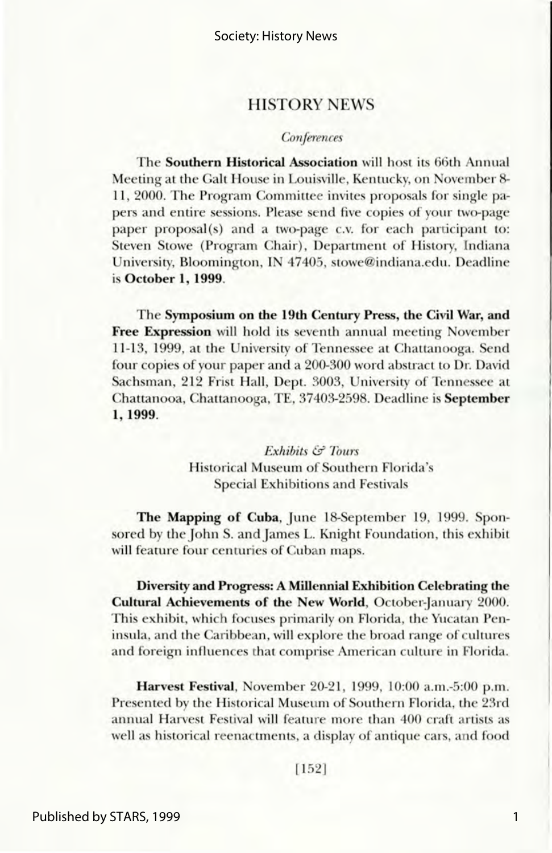### **HISTORY NEWS**

#### *Conferences*

The Southern Historical Association will host its 66th Annual Meeting at the Galt House in Louisville, Kentucky, on November 8-11, 2000. The Program Committee invites proposals for single papers and entire sessions. Please send five copies of your two-page paper proposal(s) and a two-page c.v. for each participant to: Steven Stowe (Program Chair), Department of History, Indiana University, Bloomington, IN 47405, stowe@indiana.edu. Deadline is October 1, 1999.

The Symposium on the 19th Century Press, the Civil War, and Free Expression will hold its seventh annual meeting November 11-13, 1999, at the University of Tennessee at Chattanooga. Send four copies of your paper and a 200-300 word abstract to Dr. David Sachsman, 212 Frist Hall, Dept. 3003, University of Tennessee at Chattanooa, Chattanooga, TE, 37403-2598. Deadline is September 1, 1999.

> *Exhibits*  $\mathcal{C}$  *Tours* Historical Museum of Southern Florida's **Special Exhibitions and Festivals**

The Mapping of Cuba, June 18-September 19, 1999. Sponsored by the John S. and James L. Knight Foundation, this exhibit will feature four centuries of Cuban maps.

Diversity and Progress: A Millennial Exhibition Celebrating the Cultural Achievements of the New World, October-January 2000. This exhibit, which focuses primarily on Florida, the Yucatan Peninsula, and the Caribbean, will explore the broad range of cultures and foreign influences that comprise American culture in Florida.

Harvest Festival, November 20-21, 1999, 10:00 a.m.-5:00 p.m. Presented by the Historical Museum of Southern Florida, the 23rd annual Harvest Festival will feature more than 400 craft artists as well as historical reenactments, a display of antique cars, and food

1